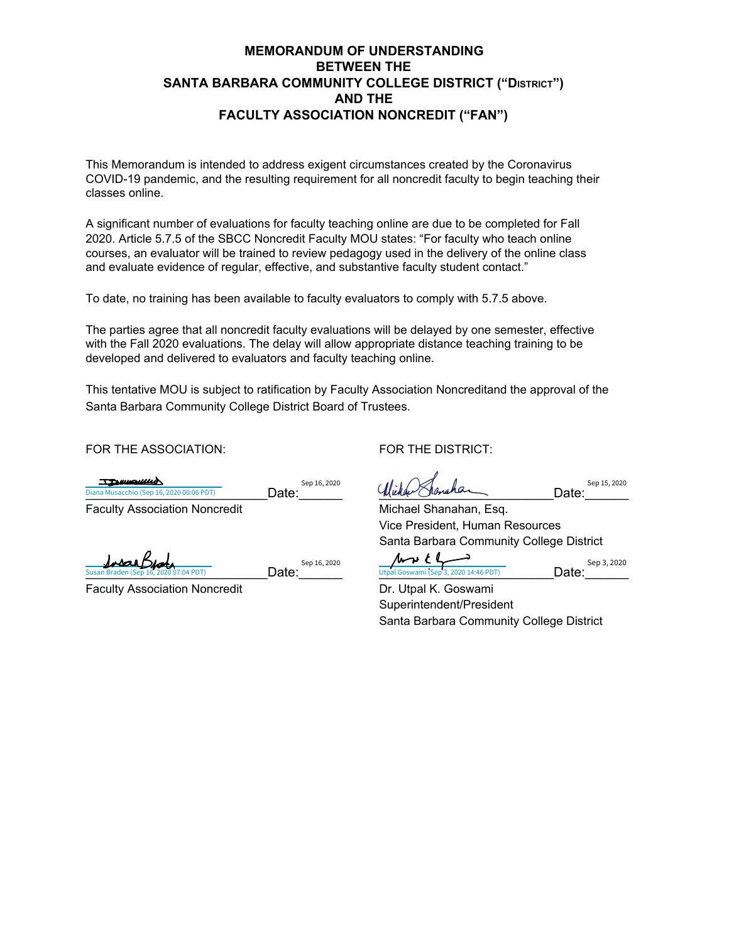## **MEMORANDUM OF UNDERSTANDING BETWEEN THE SANTA BARBARA COMMUNITY COLLEGE DISTRICT ("DISTRICT") AND THE FACULTY ASSOCIATION NONCREDIT ("FAN")**

This Memorandum is intended to address exigent circumstances created by the Coronavirus COVID-19 pandemic, and the resulting requirement for all noncredit faculty to begin teaching their classes online.

A significant number of evaluations for faculty teaching online are due to be completed for Fall 2020. Article 5.7.5 of the SBCC Noncredit Faculty MOU states: "For faculty who teach online courses, an evaluator will be trained to review pedagogy used in the delivery of the online class and evaluate evidence of regular, effective, and substantive faculty student contact."

To date, no training has been available to faculty evaluators to comply with 5.7.5 above.

 $\text{Date:}^{\text{Sep 16, 2020}}$ 

The parties agree that all noncredit faculty evaluations will be delayed by one semester, effective with the Fall 2020 evaluations. The delay will allow appropriate distance teaching training to be developed and delivered to evaluators and faculty teaching online.

This tentative MOU is subject to ratification by Faculty Association Noncreditand the approval of the Santa Barbara Community College District Board of Trustees.

FOR THE ASSOCIATION: FOR THE DISTRICT:

TENIMORIA  $Date:$ <sup>Sep 16, 2020</sup>  $\frac{D}{D}$ Diana Musacchio (Sep 16, 2020 00:06 PDT) **Date: Date: Date: Date: Date: Date: Date: Date: Date: Date: Date: Date: Date: Date: Date: Date: Date: Date: Date: Date: Date: Da** 

Insan Beat Susan Braden (Sep 16, 2020 07:04 PDT)  $\blacksquare$   $\blacksquare$   $\blacksquare$   $\blacksquare$   $\blacksquare$   $\blacksquare$   $\blacksquare$   $\blacksquare$   $\blacksquare$   $\blacksquare$   $\blacksquare$   $\blacksquare$   $\blacksquare$   $\blacksquare$   $\blacksquare$   $\blacksquare$   $\blacksquare$   $\blacksquare$   $\blacksquare$   $\blacksquare$   $\blacksquare$   $\blacksquare$   $\blacksquare$   $\blacksquare$   $\blacksquare$   $\blacksquare$   $\overline{B(04 PDT)}$ 

Faculty Association Noncredit **Dr. Utpal K. Goswami** 

Faculty Association Noncredit Michael Shanahan, Esq. Vice President, Human Resources Santa Barbara Community College District Date: $\frac{\text{Sep 15, 2020}}{35}$ <br>as<br>ge District<br>Date: $\frac{\text{Sep 3, 2020}}{35}$ 

Superintendent/President Santa Barbara Community College District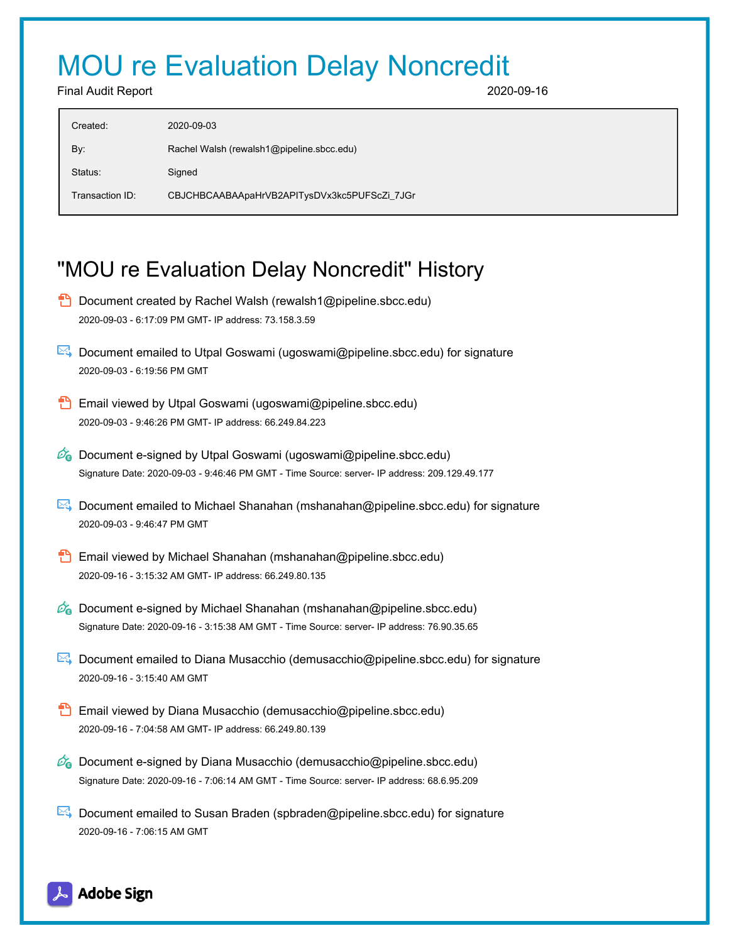## MOU re Evaluation Delay Noncredit

Final Audit Report 2020-09-16

| Created:        | 2020-09-03                                   |
|-----------------|----------------------------------------------|
| By:             | Rachel Walsh (rewalsh1@pipeline.sbcc.edu)    |
| Status:         | Signed                                       |
| Transaction ID: | CBJCHBCAABAApaHrVB2APITysDVx3kc5PUFScZi_7JGr |

## "MOU re Evaluation Delay Noncredit" History

- **D** Document created by Rachel Walsh (rewalsh1@pipeline.sbcc.edu) 2020-09-03 - 6:17:09 PM GMT- IP address: 73.158.3.59 Document emailed to Utpal Goswami (ugoswami@pipeline.sbcc.edu) for signature 2020-09-03 - 6:19:56 PM GMT Email viewed by Utpal Goswami (ugoswami@pipeline.sbcc.edu) 2020-09-03 - 9:46:26 PM GMT- IP address: 66.249.84.223  $\mathscr{O}_\bullet$  Document e-signed by Utpal Goswami (ugoswami@pipeline.sbcc.edu) Signature Date: 2020-09-03 - 9:46:46 PM GMT - Time Source: server- IP address: 209.129.49.177
- Document emailed to Michael Shanahan (mshanahan@pipeline.sbcc.edu) for signature 2020-09-03 - 9:46:47 PM GMT
- **Email viewed by Michael Shanahan (mshanahan@pipeline.sbcc.edu)** 2020-09-16 - 3:15:32 AM GMT- IP address: 66.249.80.135
- $\mathcal{O}_0$  Document e-signed by Michael Shanahan (mshanahan@pipeline.sbcc.edu) Signature Date: 2020-09-16 - 3:15:38 AM GMT - Time Source: server- IP address: 76.90.35.65
- Document emailed to Diana Musacchio (demusacchio@pipeline.sbcc.edu) for signature 2020-09-16 - 3:15:40 AM GMT
- Email viewed by Diana Musacchio (demusacchio@pipeline.sbcc.edu) 2020-09-16 - 7:04:58 AM GMT- IP address: 66.249.80.139
- $\mathscr{O}_\bullet$  Document e-signed by Diana Musacchio (demusacchio@pipeline.sbcc.edu) Signature Date: 2020-09-16 - 7:06:14 AM GMT - Time Source: server- IP address: 68.6.95.209
- Document emailed to Susan Braden (spbraden@pipeline.sbcc.edu) for signature 2020-09-16 - 7:06:15 AM GMT

## **Adobe Sign**